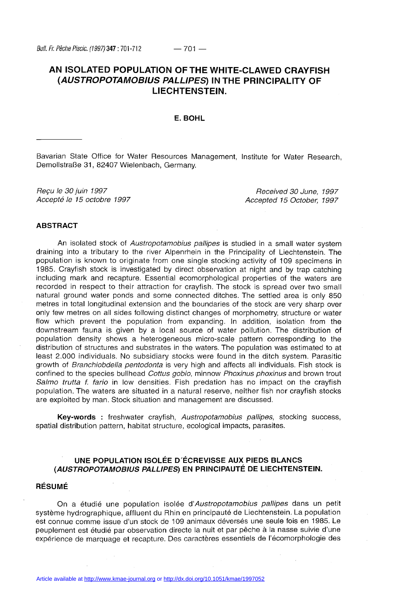# **AN ISOLATED POPULATION OF THE WHITE-CLAWED CRAYFISH (AUSTROPOTAMOBIUS PALLIPES) IN THE PRINCIPALITY OF LIECHTENSTEIN.**

# **E. BOHL**

Bavarian State Office for Water Resources Management, Institute for Water Research, Demollstraße 31, 82407 Wielenbach, Germany.

Reçu le 30 juin 1997 Accepté le 15 octobre 1997

Received 30 June, 1997 Accepted 15 October, 1997

# **ABSTRACT**

An isolated stock of Austropotamobius pallipes is studied in a small water system draining into a tributary to the river Alpenrhein in the Principality of Liechtenstein. The population is known to originate from one single stocking activity of 109 specimens in 1985. Crayfish stock is investigated by direct observation at night and by trap catching including mark and recapture. Essential ecomorphological properties of the waters are recorded in respect to their attraction for crayfish. The stock is spread over two small natural ground water ponds and some connected ditches. The settled area is only 850 metres in total longitudinal extension and the boundaries of the stock are very sharp over only few metres on all sides following distinct changes of morphometry, structure or water flow which prevent the population from expanding. In addition, isolation from the downstream fauna is given by a local source of water pollution. The distribution of population density shows a heterogeneous micro-scale pattern corresponding to the distribution of structures and substrates in the waters. The population was estimated to at least 2.000 individuals. No subsidiary stocks were found in the ditch system. Parasitic growth of Branchiobdella pentodonta is very high and affects all individuals. Fish stock is confined to the species bullhead Cottus gobio, minnow Phoxinus phoxinus and brown trout Salmo trutta f. fario in low densities. Fish predation has no impact on the crayfish population. The waters are situated in a natural reserve, neither fish nor crayfish stocks are exploited by man. Stock situation and management are discussed.

**Key-words** : freshwater crayfish, Austropotamobius pallipes, stocking success, spatial distribution pattern, habitat structure, ecological impacts, parasites.

# **UNE POPULATION ISOLÉE D'ÉCREVISSE AUX PIEDS BLANCS (AUSTROPOTAMOBIUS PALLIPES) EN PRINCIPAUTÉ DE LIECHTENSTEIN.**

# **RÉSUMÉ**

On a étudié une population isolée d'Austropotamobius pallipes dans un petit système hydrographique, affluent du Rhin en principauté de Liechtenstein. La population est connue comme issue d'un stock de 109 animaux déversés une seule fois en 1985. Le peuplement est étudié par observation directe la nuit et par pêche à la nasse suivie d'une expérience de marquage et recapture. Des caractères essentiels de l'écomorphologie des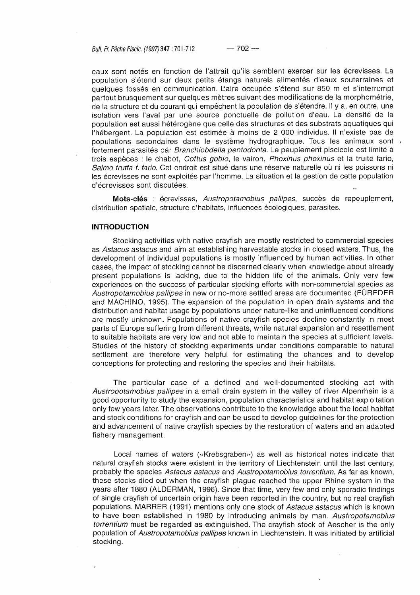Bull. Fr. Pêche Piscic. (1997) **347 : 701 -712** — 702 —-

eaux sont notés en fonction de l'attrait qu'ils semblent exercer sur les écrevisses. La population s'étend sur deux petits étangs naturels alimentés d'eaux souterraines et quelques fossés en communication. L'aire occupée s'étend sur 850 m et s'interrompt partout brusquement sur quelques mètres suivant des modifications de la morphométrie, de la structure et du courant qui empêchent la population de s'étendre. Il y a, en outre, une isolation vers l'aval par une source ponctuelle de pollution d'eau. La densité de la population est aussi hétérogène que celle des structures et des substrats aquatiques qui l'hébergent. La population est estimée à moins de 2 000 individus. Il n'existe pas de populations secondaires dans le système hydrographique. Tous les animaux sont . fortement parasités par Branchiobdella pentodonta. Le peuplement piscicole est limité à trois espèces : le chabot, Cottus gobio, le vairon, Phoxinus phoxinus et la truite fario, Salmo trutta f. fario. Cet endroit est situé dans une réserve naturelle où ni les poissons ni les écrevisses ne sont exploités par l'homme. La situation et la gestion de cette population d'écrevisses sont discutées.

**Mots-clés** : écrevisses, Austropotamobius pallipes, succès de repeuplement, distribution spatiale, structure d'habitats, influences écologiques, parasites.

# **INTRODUCTION**

Stocking activities with native crayfish are mostly restricted to commercial species as Astacus astacus and aim at establishing harvestable stocks in closed waters. Thus, the development of individual populations is mostly influenced by human activities. In other cases, the impact of stocking cannot be discerned clearly when knowledge about already present populations is lacking, due to the hidden life of the animals. Only very few experiences on the success of particular stocking efforts with non-commercial species as Austropotamobius pallipes in new or no-more settled areas are documented (FÜREDER and MACHINO, 1995). The expansion of the population in open drain systems and the distribution and habitat usage by populations under nature-like and uninfluenced conditions are mostly unknown. Populations of native crayfish species decline constantly in most parts of Europe suffering from different threats, while natural expansion and resettlement to suitable habitats are very low and not able to maintain the species at sufficient levels. Studies of the history of stocking experiments under conditions comparable to natural settlement are therefore very helpful for estimating the chances and to develop conceptions for protecting and restoring the species and their habitats.

The particular case of a defined and well-documented stocking act with Austropotamobius pallipes in a small drain system in the valley of river Alpenrhein is a good opportunity to study the expansion, population characteristics and habitat exploitation only few years later. The observations contribute to the knowledge about the local habitat and stock conditions for crayfish and can be used to develop guidelines for the protection and advancement of native crayfish species by the restoration of waters and an adapted fishery management.

Local names of waters («Krebsgraben») as well as historical notes indicate that natural crayfish stocks were existent in the territory of Liechtenstein until the last century, probably the species Astacus astacus and Austropotamobius torrentium. As far as known, these stocks died out when the crayfish plague reached the upper Rhine system in the years after 1880 (ALDERMAN, 1996). Since that time, very few and only sporadic findings of single crayfish of uncertain origin have been reported in the country, but no real crayfish populations. MARRER (1991) mentions only one stock of Astacus astacus which is known to have been established in 1980 by introducing animals by man. Austropotamobius torrentium must be regarded as extinguished. The crayfish stock of Aescher is the only population of Austropotamobius pallipes known in Liechtenstein. It was initiated by artificial stocking.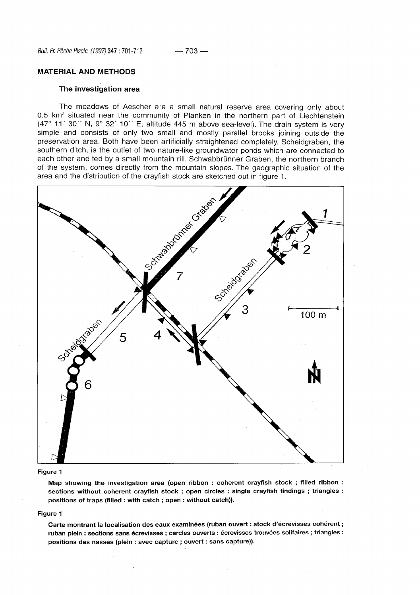### **MATERIAL AND METHODS**

# **The investigation area**

The meadows of Aescher are a small natural reserve area covering only about 0.5 km<sup>2</sup> situated near the community of Planken in the northern part of Liechtenstein (47° 11' 30" N, 9° 32' 10" E, altitude 445 m above sea-level). The drain system is very simple and consists of only two small and mostly parallel brooks joining outside the preservation area. Both have been artificially straightened completely. Scheidgraben, the southern ditch, is the outlet of two nature-like groundwater ponds which are connected to each other and fed by a small mountain rill. Schwabbrünner Graben, the northern branch of the system, comes directly from the mountain slopes. The geographic situation of the area and the distribution of the crayfish stock are sketched out in figure 1.



#### **Figure 1**

**Map showing the investigation area (open ribbon : coherent crayfish stock ; filled ribbon : sections without coherent crayfish stock ; open circles : single crayfish findings ; triangles : positions of traps (filled : with catch ; open : without catch)).** 

### **Figure 1**

**Carte montrant la localisation des eaux examinées (ruban ouvert : stock d'écrevisses cohérent ; ruban plein : sections sans écrevisses ; cercles ouverts : écrevisses trouvées solitaires ; triangles : positions des nasses (plein : avec capture ; ouvert : sans capture)).**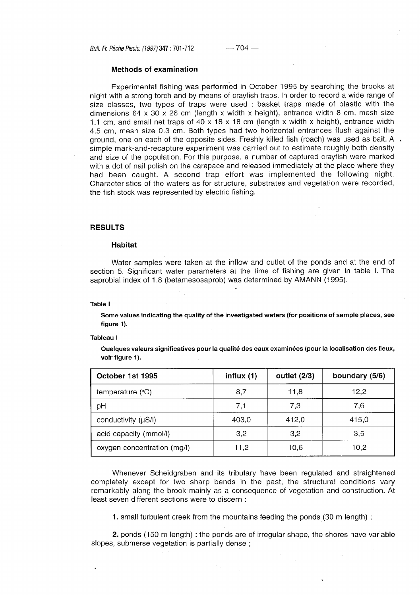Bull. Fr. Pêche Piscic. (1997) **347:701 -712** — 704 —

### **Methods of examination**

Experimental fishing was performed in October 1995 by searching the brooks at night with a strong torch and by means of crayfish traps. In order to record a wide range of size classes, two types of traps were used : basket traps made of plastic with the dimensions  $64 \times 30 \times 26$  cm (length x width x height), entrance width 8 cm, mesh size 1.1 cm, and small net traps of 40 x 18 x 18 cm (length x width x height), entrance width 4.5 cm, mesh size 0.3 cm. Both types had two horizontal entrances flush against the ground, one on each of the opposite sides. Freshly killed fish (roach) was used as bait. A  $\alpha$ simple mark-and-recapture experiment was carried out to estimate roughly both density and size of the population. For this purpose, a number of captured crayfish were marked with a dot of nail polish on the carapace and released immediately at the place where they had been caught. A second trap effort was implemented the following night. Characteristics of the waters as for structure, substrates and vegetation were recorded, the fish stock was represented by electric fishing.

# **RESULTS**

### **Habitat**

Water samples were taken at the inflow and outlet of the ponds and at the end of section 5. Significant water parameters at the time of fishing are given in table I. The saprobial index of 1.8 (betamesosaprob) was determined by AMANN (1995).

**Table I** 

**Some values indicating the quality of the investigated waters (for positions of sample places, see figure 1).** 

### **Tableau I**

**Quelques valeurs significatives pour la qualité des eaux examinées (pour la localisation des lieux, voir figure 1).** 

| October 1st 1995            | influx $(1)$ | outlet $(2/3)$ | boundary (5/6) |  |
|-----------------------------|--------------|----------------|----------------|--|
| temperature $(°C)$          | 8,7          | 11,8           | 12,2           |  |
| pH                          | 7,1          | 7,3            | 7,6            |  |
| conductivity (µS/l)         | 403,0        | 412,0          | 415,0          |  |
| acid capacity (mmol/l)      | 3,2          | 3,2            | 3,5            |  |
| oxygen concentration (mg/l) | 11,2         | 10.6           | 10,2           |  |

Whenever Scheidgraben and its tributary have been regulated and straightened completely except for two sharp bends in the past, the structural conditions vary remarkably along the brook mainly as a consequence of vegetation and construction. At least seven different sections were to discern :

**1.** small turbulent creek from the mountains feeding the ponds (30 m length) ;

**2.** ponds (150 m length) : the ponds are of irregular shape, the shores have variable slopes, submerse vegetation is partially dense ;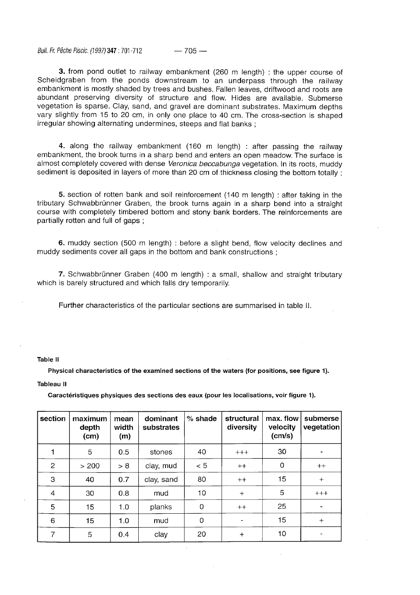Bull. Fr. Pêche Piscic. (1997) **347: 701 -712** — 705 —

**3.** from pond outlet to railway embankment (260 m length) : the upper course of Scheidgraben from the ponds downstream to an underpass through the railway embankment is mostly shaded by trees and bushes. Fallen leaves, driftwood and roots are abundant preserving diversity of structure and flow. Hides are available. Submerse vegetation is sparse. Clay, sand, and gravel are dominant substrates. Maximum depths vary slightly from 15 to 20 cm, in only one place to 40 cm. The cross-section is shaped irregular showing alternating undermines, steeps and flat banks ;

**4.** along the railway embankment (160 m length) : after passing the railway embankment, the brook turns in a sharp bend and enters an open meadow. The surface is almost completely covered with dense Veronica beccabunga vegetation. In its roots, muddy sediment is deposited in layers of more than 20 cm of thickness closing the bottom totally:

**5.** section of rotten bank and soil reinforcement (140 m length) : after taking in the tributary Schwabbrünner Graben, the brook turns again in a sharp bend into a straight course with completely timbered bottom and stony bank borders. The reinforcements are partially rotten and full of gaps ;

**6.** muddy section (500 m length) : before a slight bend, flow velocity declines and muddy sediments cover all gaps in the bottom and bank constructions ;

7. Schwabbrünner Graben (400 m length) : a small, shallow and straight tributary which is barely structured and which falls dry temporarily.

Further characteristics of the particular sections are summarised in table II.

#### **Table II**

**Physical characteristics of the examined sections of the waters (for positions, see figure 1).** 

### **Tableau II**

**Caractéristiques physiques des sections des eaux (pour les localisations, voir figure 1).** 

| section      | maximum<br>depth<br>(cm) | mean<br>width<br>(m) | dominant<br>substrates | $%$ shade | structural<br>diversity | max. flow<br>velocity<br>(cm/s) | submerse<br>vegetation |
|--------------|--------------------------|----------------------|------------------------|-----------|-------------------------|---------------------------------|------------------------|
|              | 5                        | 0.5                  | stones                 | 40        | $+++$                   | 30                              |                        |
| $\mathbf{2}$ | > 200                    | > 8                  | clay, mud              | < 5       | $++$                    | 0                               | $++$                   |
| 3            | 40                       | 0.7                  | clay, sand             | 80        | $++$                    | 15                              | $+$                    |
| 4            | 30                       | 0.8                  | mud                    | 10        | $+$                     | 5                               | $++++$                 |
| 5            | 15                       | 1.0                  | planks                 | 0         | $++$                    | 25                              |                        |
| 6            | 15                       | 1.0                  | mud                    | 0         |                         | 15                              | $+$                    |
| 7            | 5                        | 0.4                  | clay                   | 20        | $+$                     | 10                              |                        |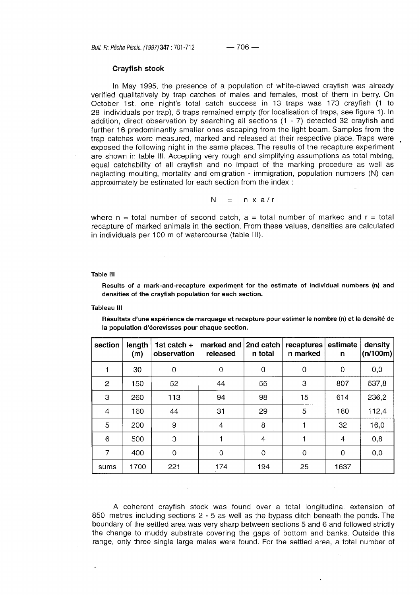# **Crayfish stock**

In May 1995, the presence of a population of white-clawed crayfish was already verified qualitatively by trap catches of males and females, most of them in berry. On October 1st, one night's total catch success in 13 traps was 173 crayfish (1 to 28 individuals per trap), 5 traps remained empty (for localisation of traps, see figure 1). In addition, direct observation by searching all sections (1 - 7) detected 32 crayfish and further 16 predominantly smaller ones escaping from the light beam. Samples from the trap catches were measured, marked and released at their respective place. Traps were exposed the following night in the same places. The results of the recapture experiment are shown in table III. Accepting very rough and simplifying assumptions as total mixing, equal catchability of all crayfish and no impact of the marking procedure as well as neglecting moulting, mortality and emigration - immigration, population numbers (N) can approximately be estimated for each section from the index :

$$
N = nxa/r
$$

where  $n =$  total number of second catch,  $a =$  total number of marked and  $r =$  total recapture of marked animals in the section. From these values, densities are calculated in individuals per 100 m of watercourse (table III).

# **Table III**

**Results of a mark-and-recapture experiment for the estimate of individual numbers (n) and densities of the crayfish population for each section.** 

**Tableau III** 

**Résultats d'une expérience de marquage et recapture pour estimer le nombre (n) et la densité de la population d'écrevisses pour chaque section.** 

| section        | length<br>(m) | 1st catch +<br>observation | marked and 2nd catch<br>released | n total | recaptures<br>n marked | estimate<br>$\mathbf n$ | density<br>(n/100m) |
|----------------|---------------|----------------------------|----------------------------------|---------|------------------------|-------------------------|---------------------|
|                | 30            | 0                          | 0                                | 0       | 0                      | $\mathbf 0$             | 0,0                 |
| $\overline{2}$ | 150           | 52                         | 44                               | 55      | 3                      | 807                     | 537,8               |
| 3              | 260           | 113                        | 94                               | 98      | 15                     | 614                     | 236,2               |
| 4              | 160           | 44                         | 31                               | 29      | 5                      | 180                     | 112,4               |
| 5              | 200           | 9                          | $\overline{4}$                   | 8       |                        | 32                      | 16,0                |
| 6              | 500           | 3                          |                                  | 4       |                        | 4                       | 0,8                 |
| 7              | 400           | $\mathbf 0$                | 0                                | 0       | 0                      | 0                       | 0,0                 |
| sums           | 1700          | 221                        | 174                              | 194     | 25                     | 1637                    |                     |

A coherent crayfish stock was found over a total longitudinal extension of 850 metres including sections 2 - 5 as well as the bypass ditch beneath the ponds. The boundary of the settled area was very sharp between sections 5 and 6 and followed strictly the change to muddy substrate covering the gaps of bottom and banks. Outside this range, only three single large males were found. For the settled area, a total number of

 $\mathcal{L}$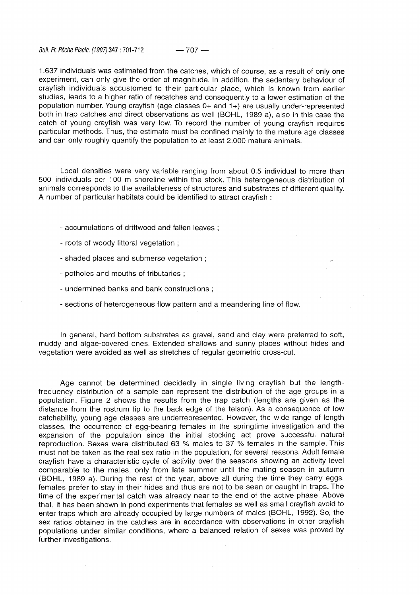Bull. Fr. Pêche Piscic. (1997) **347 : 701 -712** — 707 —

1.637 individuals was estimated from the catches, which of course, as a result of only one experiment, can only give the order of magnitude. In addition, the sedentary behaviour of crayfish individuals accustomed to their particular place, which is known from earlier studies, leads to a higher ratio of recatches and consequently to a lower estimation of the population number. Young crayfish (age classes 0+ and 1+) are usually under-represented both in trap catches and direct observations as well (BOHL, 1989 a), also in this case the catch of young crayfish was very low. To record the number of young crayfish requires particular methods. Thus, the estimate must be confined mainly to the mature age classes and can only roughly quantify the population to at least 2.000 mature animals.

Local densities were very variable ranging from about 0.5 individual to more than 500 individuals per 100 m shoreline within the stock. This heterogeneous distribution of animals corresponds to the availableness of structures and substrates of different quality. A number of particular habitats could be identified to attract crayfish :

- accumulations of driftwood and fallen leaves ;
- roots of woody littoral vegetation ;
- shaded places and submerse vegetation ;
- potholes and mouths of tributaries ;
- undermined banks and bank constructions ;
- sections of heterogeneous flow pattern and a meandering line of flow.

In general, hard bottom substrates as gravel, sand and clay were preferred to soft, muddy and algae-covered ones. Extended shallows and sunny places without hides and vegetation were avoided as well as stretches of regular geometric cross-cut.

Age cannot be determined decidedly in single living crayfish but the lengthfrequency distribution of a sample can represent the distribution of the age groups in a population. Figure 2 shows the results from the trap catch (lengths are given as the distance from the rostrum tip to the back edge of the telson). As a consequence of low catchability, young age classes are underrepresented. However, the wide range of length classes, the occurrence of egg-bearing females in the springtime investigation and the expansion of the population since the initial stocking act prove successful natural reproduction. Sexes were distributed 63 % males to 37 % females in the sample. This must not be taken as the real sex ratio in the population, for several reasons. Adult female crayfish have a characteristic cycle of activity over the seasons showing an activity level comparable to the males, only from late summer until the mating season in autumn (BOHL, 1989 a). During the rest of the year, above all during the time they carry eggs, females prefer to stay in their hides and thus are not to be seen or caught in traps. The time of the experimental catch was already near to the end of the active phase. Above that, it has been shown in pond experiments that females as well as small crayfish avoid to enter traps which are already occupied by large numbers of males (BOHL, 1992). So, the sex ratios obtained in the catches are in accordance with observations in other crayfish populations under similar conditions, where a balanced relation of sexes was proved by further investigations.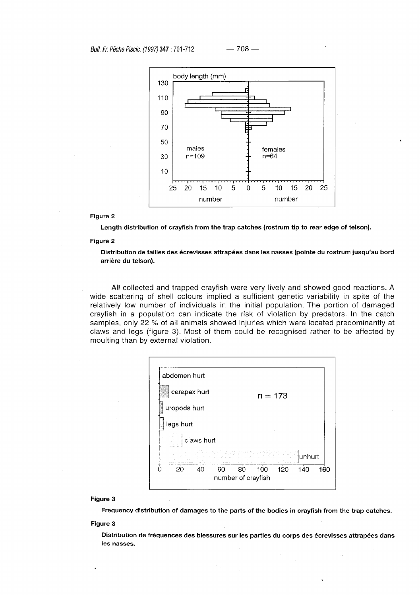

### **Figure 2**

**Length distribution of crayfish from the trap catches (rostrum tip to rear edge of telson).** 

# **Figure 2**

**Distribution de tailles des écrevisses attrapées dans les nasses (pointe du rostrum jusqu'au bord arrière du telson).** 

Al! collected and trapped crayfish were very lively and showed good reactions. A wide scattering of shell colours implied a sufficient genetic variability in spite of the relatively low number of individuals in the initial population. The portion of damaged crayfish in a population can indicate the risk of violation by predators. In the catch samples, only 22 % of all animals showed injuries which were located predominantly at claws and legs (figure 3). Most of them could be recognised rather to be affected by moulting than by external violation.

| abdomen hurt    |                                                      |
|-----------------|------------------------------------------------------|
| carapax hurt    | $n = 173$                                            |
| uropods hurt    |                                                      |
| legs hurt       | ٠                                                    |
| claws hurt      |                                                      |
|                 | lunhurt<br>sil s                                     |
| .60<br>20<br>40 | 140<br>160<br>120<br>100<br>80<br>number of crayfish |

# **Figure 3**

**Frequency distribution of damages to the parts of the bodies in crayfish from the trap catches.** 

# **Figure 3**

**Distribution de fréquences des blessures sur les parties du corps des écrevisses attrapées dans les nasses.**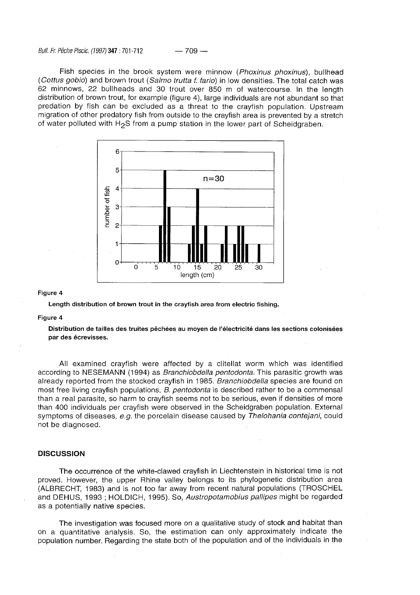Bull. Fr. Pêche Piscic. (1997) **347 :701 -712** — 709 —

Fish species in the brook system were minnow (Phoxinus phoxinus), bullhead (Cottus gobio) and brown trout (Salmo trutta f. fario) in low densities. The total catch was 62 minnows, 22 bullheads and 30 trout over 850 m of watercourse. In the length distribution of brown trout, for example (figure 4), large individuals are not abundant so that predation by fish can be excluded as a threat to the crayfish population. Upstream migration of other predatory fish from outside to the crayfish area is prevented by a stretch of water polluted with H<sub>2</sub>S from a pump station in the lower part of Scheidgraben.



### **Figure 4**

**Length distribution of brown trout in the crayfish area from electric fishing.** 

### **Figure 4**

**Distribution de tailles des truites pêchées au moyen de l'électricité dans les sections colonisées par des écrevisses.** 

All examined crayfish were affected by a clitellat worm which was identified according to NESEMANN (1994) as Branchiobdella pentodonta. This parasitic growth was already reported from the stocked crayfish in 1985. Branchiobdella species are found on most free living crayfish populations, B. pentodonta is described rather to be a commensal than a real parasite, so harm to crayfish seems not to be serious, even if densities of more than 400 individuals per crayfish were observed in the Scheidgraben population. External symptoms of diseases, e.g. the porcelain disease caused by Thelohania contejani, could not be diagnosed.

### **DISCUSSION**

The occurrence of the white-clawed crayfish in Liechtenstein in historical time is not proved. However, the upper Rhine valley belongs to its phylogenetic distribution area (ALBRECHT, 1983) and is not too far away from recent natural populations (TROSCHEL and DEHUS, 1993 ; HOLDICH, 1995). So, Austropotamobius pallipes might be regarded as a potentially native species.

The investigation was focused more on a qualitative study of stock and habitat than on a quantitative analysis. So, the estimation can only approximately indicate the population number. Regarding the state both of the population and of the individuals in the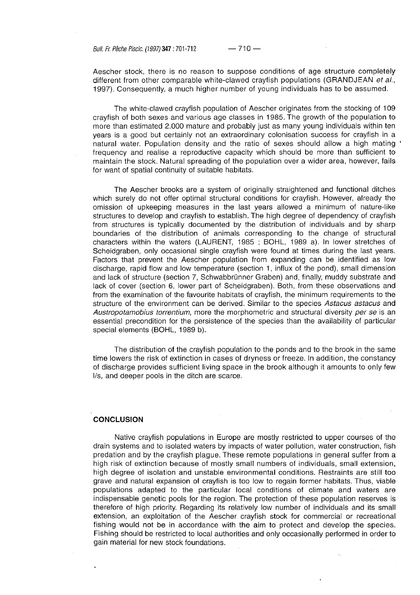Bull. Fr. Pêche Piscic. (1997) **347:701 -712** — 710 —

Aescher stock, there is no reason to suppose conditions of age structure completely different from other comparable white-clawed crayfish populations (GRANDJEAN et al., 1997). Consequently, a much higher number of young individuals has to be assumed.

The white-clawed crayfish population of Aescher originates from the stocking of 109 crayfish of both sexes and various age classes in 1985. The growth of the population to more than estimated 2.000 mature and probably just as many young individuals within ten years is a good but certainly not an extraordinary colonisation success for crayfish in a natural water. Population density and the ratio of sexes should allow a high mating ' frequency and realise a reproductive capacity which should be more than sufficient to maintain the stock. Natural spreading of the population over a wider area, however, fails for want of spatial continuity of suitable habitats.

The Aescher brooks are a system of originally straightened and functional ditches which surely do not offer optimal structural conditions for crayfish. However, already the omission of upkeeping measures in the last years allowed a minimum of nature-like structures to develop and crayfish to establish. The high degree of dependency of crayfish from structures is typically documented by the distribution of individuals and by sharp boundaries of the distribution of animals corresponding to the change of structural characters within the waters (LAURENT, 1985 ; BOHL, 1989 a). In lower stretches of Scheidgraben, only occasional single crayfish were found at times during the last years. Factors that prevent the Aescher population from expanding can be identified as low discharge, rapid flow and low temperature (section 1, influx of the pond), small dimension and lack of structure (section 7, Schwabbrünner Graben) and, finally, muddy substrate and lack of cover (section 6, lower part of Scheidgraben). Both, from these observations and from the examination of the favourite habitats of crayfish, the minimum requirements to the structure of the environment can be derived. Similar to the species Astacus astacus and Austropotamobius torrentium, more the morphometric and structural diversity per se is an essential precondition for the persistence of the species than the availability of particular special elements (BOHL, 1989 b).

The distribution of the crayfish population to the ponds and to the brook in the same time lowers the risk of extinction in cases of dryness or freeze. In addition, the constancy of discharge provides sufficient living space in the brook although it amounts to only few l/s, and deeper pools in the ditch are scarce.

# **CONCLUSION**

Native crayfish populations in Europe are mostly restricted to upper courses of the drain systems and to isolated waters by impacts of water pollution, water construction, fish predation and by the crayfish plague. These remote populations in general suffer from a high risk of extinction because of mostly small numbers of individuals, small extension, high degree of isolation and unstable environmental conditions. Restraints are still too grave and natural expansion of crayfish is too low to regain former habitats. Thus, viable populations adapted to the particular local conditions of climate and waters are indispensable genetic pools for the region. The protection of these population reserves is therefore of high priority. Regarding its relatively low number of individuals and its small extension, an exploitation of the Aescher crayfish stock for commercial or recreational fishing would not be in accordance with the aim to protect and develop the species. Fishing should be restricted to local authorities and only occasionally performed in order to gain material for new stock foundations.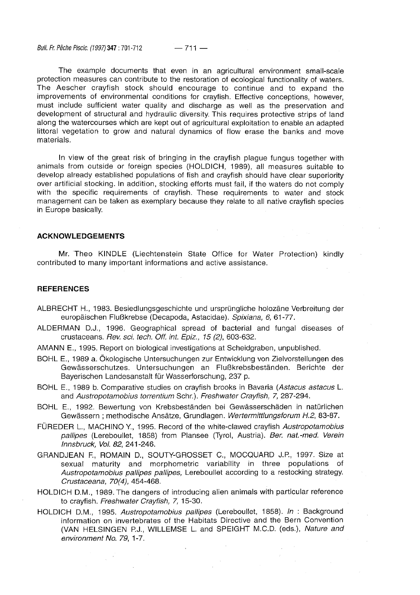Bull. Fr. Pêche Piscic. (1997) **347 :701 -712** — 711 —

The example documents that even in an agricultural environment small-scale protection measures can contribute to the restoration of ecological functionality of waters. The Aescher crayfish stock should encourage to continue and to expand the improvements of environmental conditions for crayfish. Effective conceptions, however, must include sufficient water quality and discharge as well as the preservation and development of structural and hydraulic diversity. This requires protective strips of land along the watercourses which are kept out of agricultural exploitation to enable an adapted littoral vegetation to grow and natural dynamics of flow erase the banks and move materials.

In view of the great risk of bringing in the crayfish plague fungus together with animals from outside or foreign species (HOLDICH, 1989), all measures suitable to develop already established populations of fish and crayfish should have clear superiority over artificial stocking. In addition, stocking efforts must fail, if the waters do not comply with the specific requirements of crayfish. These requirements to water and stock management can be taken as exemplary because they relate to all native crayfish species in Europe basically.

# **ACKNOWLEDGEMENTS**

Mr. Theo KINDLE (Liechtenstein State Office for Water Protection) kindly contributed to many important informations and active assistance.

# **REFERENCES**

- ALBRECHT H., 1983. Besiedlungsgeschichte und ursprüngliche holozäne Verbreitung der europäischen Flußkrebse (Decapoda, Astacidae). Spixiana, 6, 61-77.
- ALDERMAN D.J., 1996. Geographical spread of bacterial and fungal diseases of crustaceans. Rev. sei. tech. Off. int. Epiz., 15 (2), 603-632.
- AMANN E., 1995. Report on biological investigations at Scheidgraben, unpublished.
- BOHL E., 1989 a. Ökologische Untersuchungen zur Entwicklung von Zielvorstellungen des Gewässerschutzes. Untersuchungen an Flußkrebsbeständen. Berichte der Bayerischen Landesanstalt für Wasserforschung, 237 p.
- BOHL E., 1989 b. Comparative studies on crayfish brooks in Bavaria (Astacus astacus L. and Austropotamobius torrentium Sehr.). Freshwater Crayfish, 7, 287-294.
- BOHL E., 1992. Bewertung von Krebsbeständen bei Gewässerschäden in natürlichen Gewässern ; methodische Ansätze, Grundlagen. Wertermittlungsforum H.2, 83-87.
- FÜREDER L., MACHINO Y., 1995. Record of the white-clawed crayfish Austropotamobius pallipes (Lereboullet, 1858) from Plansee (Tyrol, Austria). Ber. nat.-med. Verein Innsbruck, Vol. 82, 241-246.
- GRANDJEAN F., ROMAIN D., SOUTY-GROSSET C, MOCQUARD J.R, 1997. Size at sexual maturity and morphometric variability in three populations of Austropotamobius pallipes pallipes, Lereboullet according to a restocking strategy. Crustaceana, 70(4), 454-468.
- HOLDICH D.M., 1989. The dangers of introducing alien animals with particular reference to crayfish. Freshwater Crayfish, 7, 15-30.
- HOLDICH D.M., 1995. Austropotamobius pallipes (Lereboullet, 1858). In : Background information on invertebrates of the Habitats Directive and the Bern Convention (VAN HELSINGEN P.J., WILLEMSE L. and SPEIGHT M.C.D. (eds.), Nature and environment No. 79, 1-7.